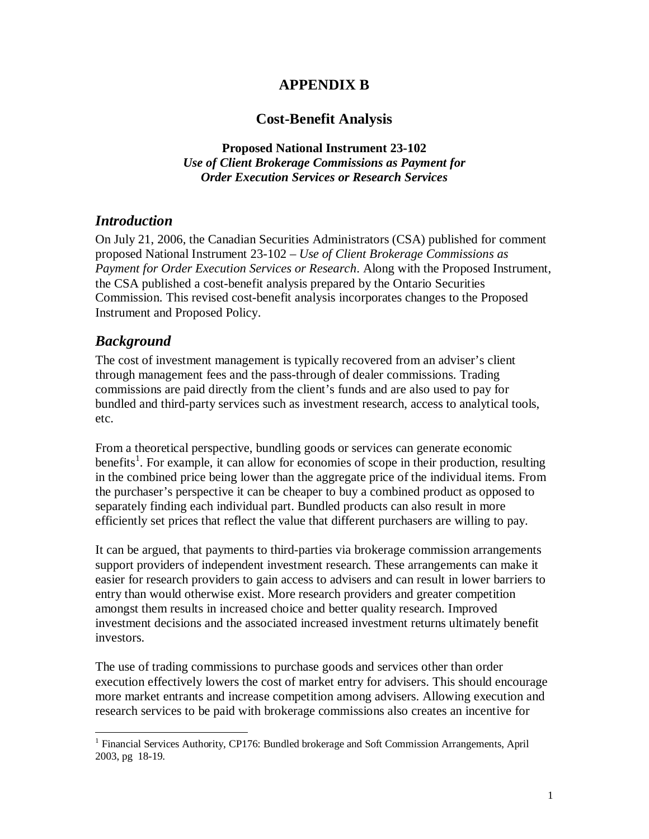# **APPENDIX B**

# **Cost-Benefit Analysis**

**Proposed National Instrument 23-102**  *Use of Client Brokerage Commissions as Payment for Order Execution Services or Research Services*

# *Introduction*

On July 21, 2006, the Canadian Securities Administrators (CSA) published for comment proposed National Instrument 23-102 – *Use of Client Brokerage Commissions as Payment for Order Execution Services or Research*. Along with the Proposed Instrument, the CSA published a cost-benefit analysis prepared by the Ontario Securities Commission. This revised cost-benefit analysis incorporates changes to the Proposed Instrument and Proposed Policy.

# *Background*

<u>.</u>

The cost of investment management is typically recovered from an adviser's client through management fees and the pass-through of dealer commissions. Trading commissions are paid directly from the client's funds and are also used to pay for bundled and third-party services such as investment research, access to analytical tools, etc.

From a theoretical perspective, bundling goods or services can generate economic benefits<sup>1</sup>. For example, it can allow for economies of scope in their production, resulting in the combined price being lower than the aggregate price of the individual items. From the purchaser's perspective it can be cheaper to buy a combined product as opposed to separately finding each individual part. Bundled products can also result in more efficiently set prices that reflect the value that different purchasers are willing to pay.

It can be argued, that payments to third-parties via brokerage commission arrangements support providers of independent investment research. These arrangements can make it easier for research providers to gain access to advisers and can result in lower barriers to entry than would otherwise exist. More research providers and greater competition amongst them results in increased choice and better quality research. Improved investment decisions and the associated increased investment returns ultimately benefit investors.

The use of trading commissions to purchase goods and services other than order execution effectively lowers the cost of market entry for advisers. This should encourage more market entrants and increase competition among advisers. Allowing execution and research services to be paid with brokerage commissions also creates an incentive for

<sup>&</sup>lt;sup>1</sup> Financial Services Authority, CP176: Bundled brokerage and Soft Commission Arrangements, April 2003, pg 18-19.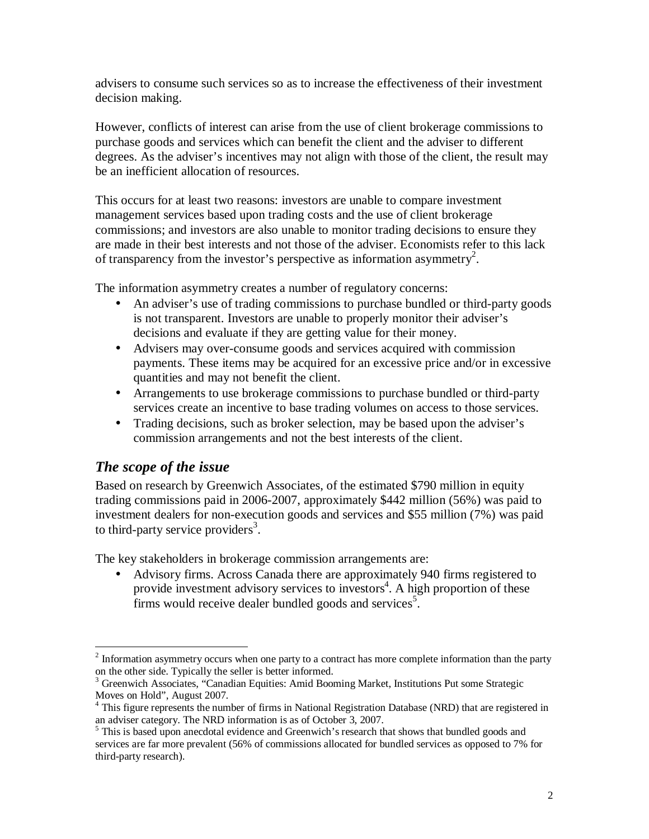advisers to consume such services so as to increase the effectiveness of their investment decision making.

However, conflicts of interest can arise from the use of client brokerage commissions to purchase goods and services which can benefit the client and the adviser to different degrees. As the adviser's incentives may not align with those of the client, the result may be an inefficient allocation of resources.

This occurs for at least two reasons: investors are unable to compare investment management services based upon trading costs and the use of client brokerage commissions; and investors are also unable to monitor trading decisions to ensure they are made in their best interests and not those of the adviser. Economists refer to this lack of transparency from the investor's perspective as information asymmetry<sup>2</sup>.

The information asymmetry creates a number of regulatory concerns:

- An adviser's use of trading commissions to purchase bundled or third-party goods is not transparent. Investors are unable to properly monitor their adviser's decisions and evaluate if they are getting value for their money.
- Advisers may over-consume goods and services acquired with commission payments. These items may be acquired for an excessive price and/or in excessive quantities and may not benefit the client.
- Arrangements to use brokerage commissions to purchase bundled or third-party services create an incentive to base trading volumes on access to those services.
- Trading decisions, such as broker selection, may be based upon the adviser's commission arrangements and not the best interests of the client.

# *The scope of the issue*

Based on research by Greenwich Associates, of the estimated \$790 million in equity trading commissions paid in 2006-2007, approximately \$442 million (56%) was paid to investment dealers for non-execution goods and services and \$55 million (7%) was paid to third-party service providers<sup>3</sup>.

The key stakeholders in brokerage commission arrangements are:

• Advisory firms. Across Canada there are approximately 940 firms registered to provide investment advisory services to investors<sup>4</sup>. A high proportion of these firms would receive dealer bundled goods and services<sup>5</sup>.

<sup>&</sup>lt;u>.</u>  $2$  Information asymmetry occurs when one party to a contract has more complete information than the party on the other side. Typically the seller is better informed.

<sup>&</sup>lt;sup>3</sup> Greenwich Associates, "Canadian Equities: Amid Booming Market, Institutions Put some Strategic Moves on Hold", August 2007.

<sup>&</sup>lt;sup>4</sup> This figure represents the number of firms in National Registration Database (NRD) that are registered in an adviser category. The NRD information is as of October 3, 2007.

<sup>&</sup>lt;sup>5</sup> This is based upon anecdotal evidence and Greenwich's research that shows that bundled goods and services are far more prevalent (56% of commissions allocated for bundled services as opposed to 7% for third-party research).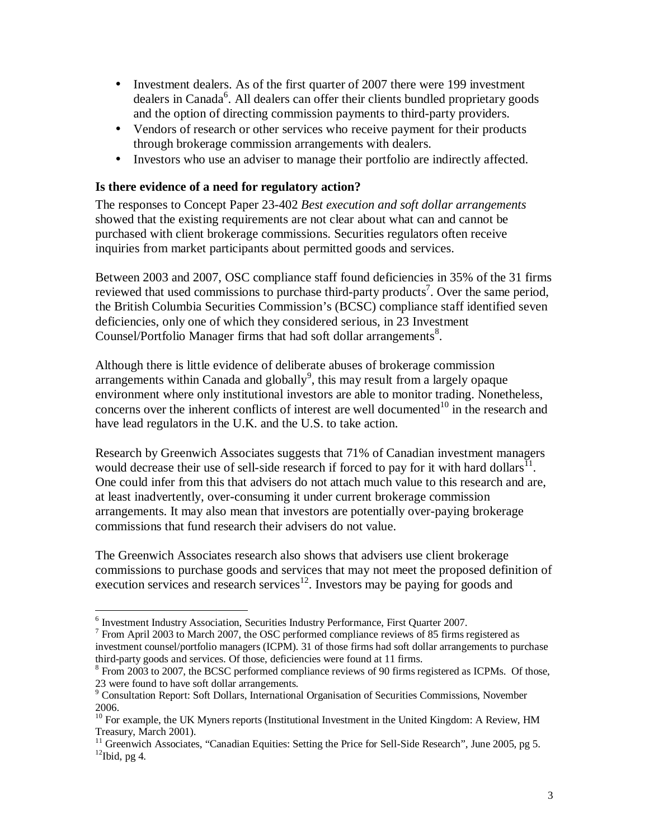- Investment dealers. As of the first quarter of 2007 there were 199 investment dealers in Canada<sup>6</sup>. All dealers can offer their clients bundled proprietary goods and the option of directing commission payments to third-party providers.
- Vendors of research or other services who receive payment for their products through brokerage commission arrangements with dealers.
- Investors who use an adviser to manage their portfolio are indirectly affected.

## **Is there evidence of a need for regulatory action?**

The responses to Concept Paper 23-402 *Best execution and soft dollar arrangements* showed that the existing requirements are not clear about what can and cannot be purchased with client brokerage commissions. Securities regulators often receive inquiries from market participants about permitted goods and services.

Between 2003 and 2007, OSC compliance staff found deficiencies in 35% of the 31 firms reviewed that used commissions to purchase third-party products<sup>7</sup>. Over the same period, the British Columbia Securities Commission's (BCSC) compliance staff identified seven deficiencies, only one of which they considered serious, in 23 Investment Counsel/Portfolio Manager firms that had soft dollar arrangements<sup>8</sup>.

Although there is little evidence of deliberate abuses of brokerage commission arrangements within Canada and globally $9$ , this may result from a largely opaque environment where only institutional investors are able to monitor trading. Nonetheless, concerns over the inherent conflicts of interest are well documented<sup>10</sup> in the research and have lead regulators in the U.K. and the U.S. to take action.

Research by Greenwich Associates suggests that 71% of Canadian investment managers would decrease their use of sell-side research if forced to pay for it with hard dollars<sup> $I_1$ </sup>. One could infer from this that advisers do not attach much value to this research and are, at least inadvertently, over-consuming it under current brokerage commission arrangements. It may also mean that investors are potentially over-paying brokerage commissions that fund research their advisers do not value.

The Greenwich Associates research also shows that advisers use client brokerage commissions to purchase goods and services that may not meet the proposed definition of execution services and research services<sup>12</sup>. Investors may be paying for goods and

 6 Investment Industry Association, Securities Industry Performance, First Quarter 2007.

<sup>&</sup>lt;sup>7</sup> From April 2003 to March 2007, the OSC performed compliance reviews of 85 firms registered as investment counsel/portfolio managers (ICPM). 31 of those firms had soft dollar arrangements to purchase third-party goods and services. Of those, deficiencies were found at 11 firms.

 $8$  From 2003 to 2007, the BCSC performed compliance reviews of 90 firms registered as ICPMs. Of those, 23 were found to have soft dollar arrangements.

<sup>&</sup>lt;sup>9</sup> Consultation Report: Soft Dollars, International Organisation of Securities Commissions, November 2006.

<sup>&</sup>lt;sup>10</sup> For example, the UK Myners reports (Institutional Investment in the United Kingdom: A Review, HM Treasury, March 2001).

<sup>&</sup>lt;sup>11</sup> Greenwich Associates, "Canadian Equities: Setting the Price for Sell-Side Research", June 2005, pg 5.  $12$ Ibid, pg 4.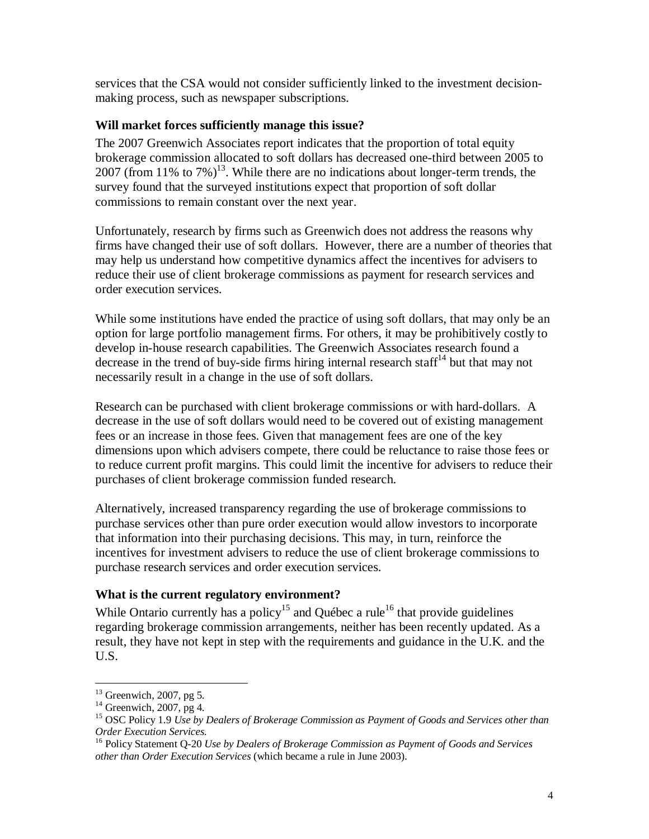services that the CSA would not consider sufficiently linked to the investment decisionmaking process, such as newspaper subscriptions.

## **Will market forces sufficiently manage this issue?**

The 2007 Greenwich Associates report indicates that the proportion of total equity brokerage commission allocated to soft dollars has decreased one-third between 2005 to 2007 (from 11% to 7%)<sup>13</sup>. While there are no indications about longer-term trends, the survey found that the surveyed institutions expect that proportion of soft dollar commissions to remain constant over the next year.

Unfortunately, research by firms such as Greenwich does not address the reasons why firms have changed their use of soft dollars. However, there are a number of theories that may help us understand how competitive dynamics affect the incentives for advisers to reduce their use of client brokerage commissions as payment for research services and order execution services.

While some institutions have ended the practice of using soft dollars, that may only be an option for large portfolio management firms. For others, it may be prohibitively costly to develop in-house research capabilities. The Greenwich Associates research found a decrease in the trend of buy-side firms hiring internal research staff<sup>14</sup> but that may not necessarily result in a change in the use of soft dollars.

Research can be purchased with client brokerage commissions or with hard-dollars. A decrease in the use of soft dollars would need to be covered out of existing management fees or an increase in those fees. Given that management fees are one of the key dimensions upon which advisers compete, there could be reluctance to raise those fees or to reduce current profit margins. This could limit the incentive for advisers to reduce their purchases of client brokerage commission funded research.

Alternatively, increased transparency regarding the use of brokerage commissions to purchase services other than pure order execution would allow investors to incorporate that information into their purchasing decisions. This may, in turn, reinforce the incentives for investment advisers to reduce the use of client brokerage commissions to purchase research services and order execution services.

# **What is the current regulatory environment?**

While Ontario currently has a policy<sup>15</sup> and Québec a rule<sup>16</sup> that provide guidelines regarding brokerage commission arrangements, neither has been recently updated. As a result, they have not kept in step with the requirements and guidance in the U.K. and the U.S.

-

 $13$  Greenwich, 2007, pg 5.

 $14$  Greenwich, 2007, pg 4.

<sup>15</sup> OSC Policy 1.9 *Use by Dealers of Brokerage Commission as Payment of Goods and Services other than Order Execution Services*.

<sup>16</sup> Policy Statement Q-20 *Use by Dealers of Brokerage Commission as Payment of Goods and Services other than Order Execution Services* (which became a rule in June 2003).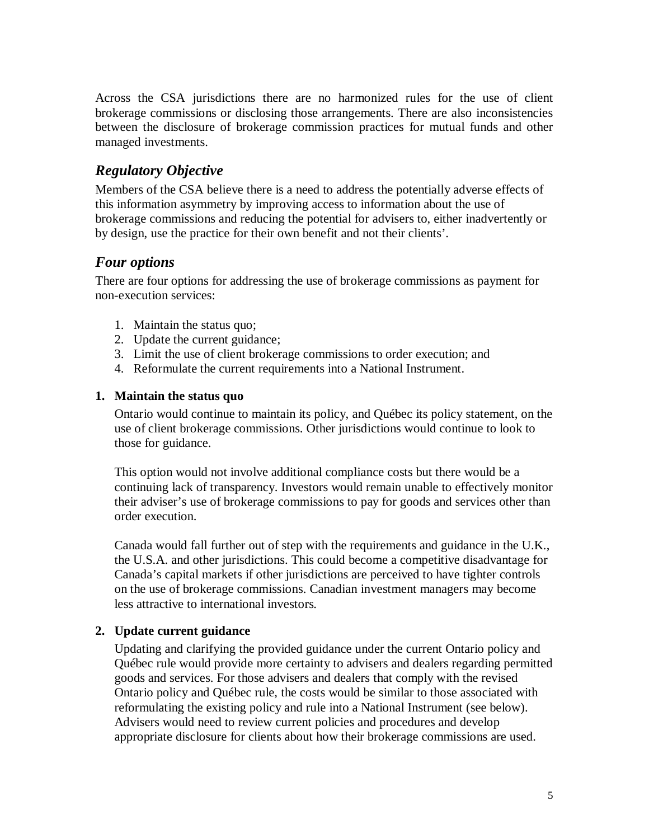Across the CSA jurisdictions there are no harmonized rules for the use of client brokerage commissions or disclosing those arrangements. There are also inconsistencies between the disclosure of brokerage commission practices for mutual funds and other managed investments.

# *Regulatory Objective*

Members of the CSA believe there is a need to address the potentially adverse effects of this information asymmetry by improving access to information about the use of brokerage commissions and reducing the potential for advisers to, either inadvertently or by design, use the practice for their own benefit and not their clients'.

# *Four options*

There are four options for addressing the use of brokerage commissions as payment for non-execution services:

- 1. Maintain the status quo;
- 2. Update the current guidance;
- 3. Limit the use of client brokerage commissions to order execution; and
- 4. Reformulate the current requirements into a National Instrument.

## **1. Maintain the status quo**

Ontario would continue to maintain its policy, and Québec its policy statement, on the use of client brokerage commissions. Other jurisdictions would continue to look to those for guidance.

This option would not involve additional compliance costs but there would be a continuing lack of transparency. Investors would remain unable to effectively monitor their adviser's use of brokerage commissions to pay for goods and services other than order execution.

Canada would fall further out of step with the requirements and guidance in the U.K., the U.S.A. and other jurisdictions. This could become a competitive disadvantage for Canada's capital markets if other jurisdictions are perceived to have tighter controls on the use of brokerage commissions. Canadian investment managers may become less attractive to international investors.

## **2. Update current guidance**

Updating and clarifying the provided guidance under the current Ontario policy and Québec rule would provide more certainty to advisers and dealers regarding permitted goods and services. For those advisers and dealers that comply with the revised Ontario policy and Québec rule, the costs would be similar to those associated with reformulating the existing policy and rule into a National Instrument (see below). Advisers would need to review current policies and procedures and develop appropriate disclosure for clients about how their brokerage commissions are used.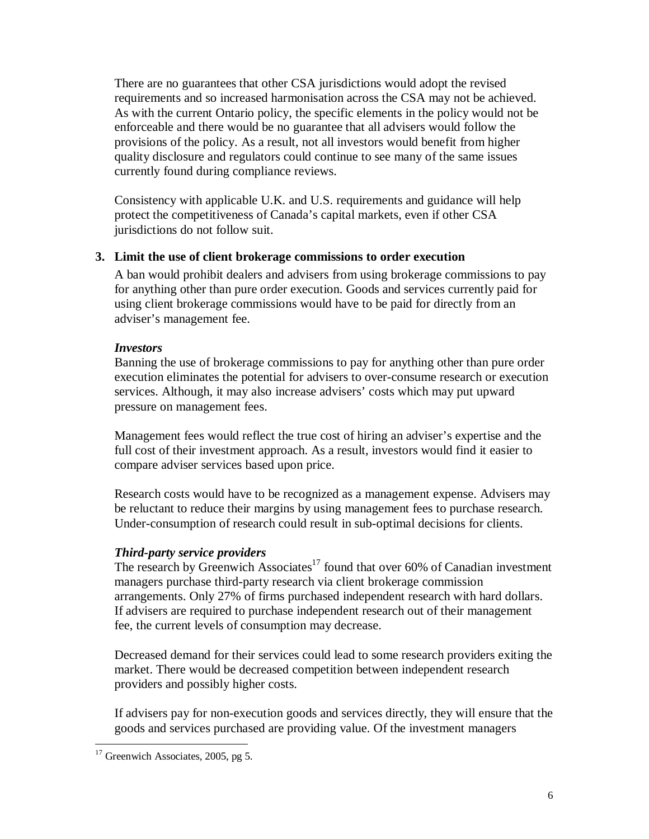There are no guarantees that other CSA jurisdictions would adopt the revised requirements and so increased harmonisation across the CSA may not be achieved. As with the current Ontario policy, the specific elements in the policy would not be enforceable and there would be no guarantee that all advisers would follow the provisions of the policy. As a result, not all investors would benefit from higher quality disclosure and regulators could continue to see many of the same issues currently found during compliance reviews.

Consistency with applicable U.K. and U.S. requirements and guidance will help protect the competitiveness of Canada's capital markets, even if other CSA jurisdictions do not follow suit.

#### **3. Limit the use of client brokerage commissions to order execution**

A ban would prohibit dealers and advisers from using brokerage commissions to pay for anything other than pure order execution. Goods and services currently paid for using client brokerage commissions would have to be paid for directly from an adviser's management fee.

#### *Investors*

Banning the use of brokerage commissions to pay for anything other than pure order execution eliminates the potential for advisers to over-consume research or execution services. Although, it may also increase advisers' costs which may put upward pressure on management fees.

Management fees would reflect the true cost of hiring an adviser's expertise and the full cost of their investment approach. As a result, investors would find it easier to compare adviser services based upon price.

Research costs would have to be recognized as a management expense. Advisers may be reluctant to reduce their margins by using management fees to purchase research. Under-consumption of research could result in sub-optimal decisions for clients.

## *Third-party service providers*

The research by Greenwich Associates<sup>17</sup> found that over 60% of Canadian investment managers purchase third-party research via client brokerage commission arrangements. Only 27% of firms purchased independent research with hard dollars. If advisers are required to purchase independent research out of their management fee, the current levels of consumption may decrease.

Decreased demand for their services could lead to some research providers exiting the market. There would be decreased competition between independent research providers and possibly higher costs.

If advisers pay for non-execution goods and services directly, they will ensure that the goods and services purchased are providing value. Of the investment managers

<sup>&</sup>lt;u>.</u>  $17$  Greenwich Associates, 2005, pg 5.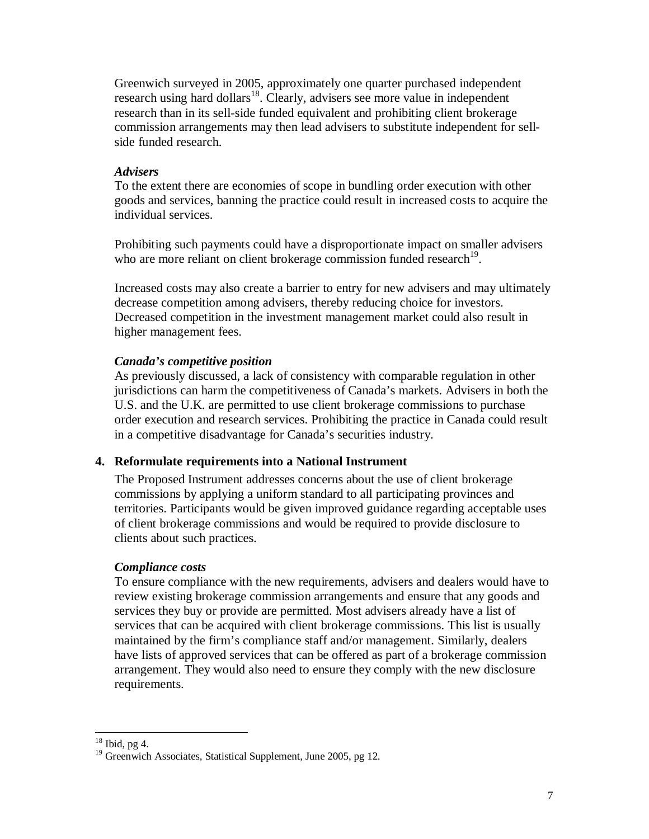Greenwich surveyed in 2005, approximately one quarter purchased independent research using hard dollars<sup>18</sup>. Clearly, advisers see more value in independent research than in its sell-side funded equivalent and prohibiting client brokerage commission arrangements may then lead advisers to substitute independent for sellside funded research.

#### *Advisers*

To the extent there are economies of scope in bundling order execution with other goods and services, banning the practice could result in increased costs to acquire the individual services.

Prohibiting such payments could have a disproportionate impact on smaller advisers who are more reliant on client brokerage commission funded research<sup>19</sup>.

Increased costs may also create a barrier to entry for new advisers and may ultimately decrease competition among advisers, thereby reducing choice for investors. Decreased competition in the investment management market could also result in higher management fees.

#### *Canada's competitive position*

As previously discussed, a lack of consistency with comparable regulation in other jurisdictions can harm the competitiveness of Canada's markets. Advisers in both the U.S. and the U.K. are permitted to use client brokerage commissions to purchase order execution and research services. Prohibiting the practice in Canada could result in a competitive disadvantage for Canada's securities industry.

#### **4. Reformulate requirements into a National Instrument**

The Proposed Instrument addresses concerns about the use of client brokerage commissions by applying a uniform standard to all participating provinces and territories. Participants would be given improved guidance regarding acceptable uses of client brokerage commissions and would be required to provide disclosure to clients about such practices.

#### *Compliance costs*

To ensure compliance with the new requirements, advisers and dealers would have to review existing brokerage commission arrangements and ensure that any goods and services they buy or provide are permitted. Most advisers already have a list of services that can be acquired with client brokerage commissions. This list is usually maintained by the firm's compliance staff and/or management. Similarly, dealers have lists of approved services that can be offered as part of a brokerage commission arrangement. They would also need to ensure they comply with the new disclosure requirements.

<u>.</u>

 $18$  Ibid, pg 4.

<sup>&</sup>lt;sup>19</sup> Greenwich Associates, Statistical Supplement, June 2005, pg 12.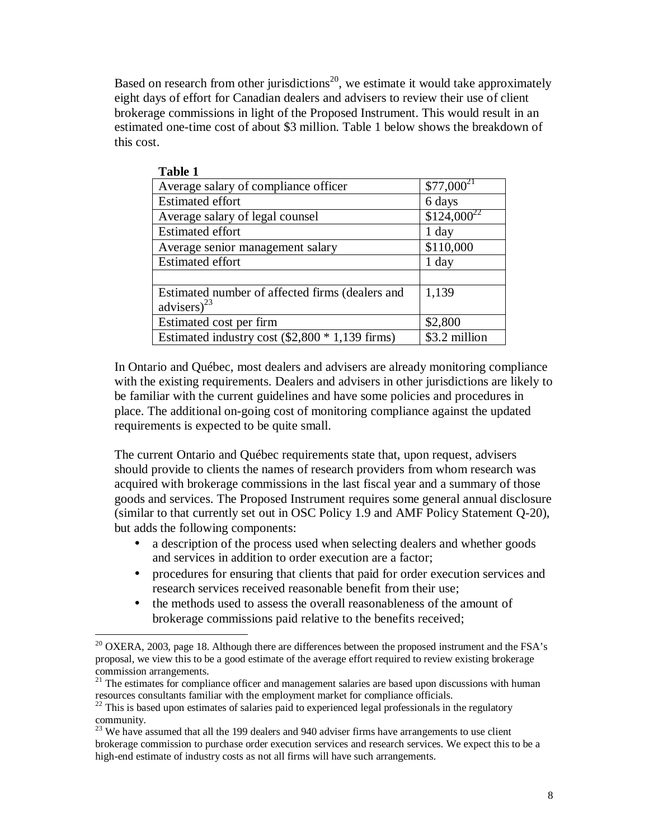Based on research from other jurisdictions<sup>20</sup>, we estimate it would take approximately eight days of effort for Canadian dealers and advisers to review their use of client brokerage commissions in light of the Proposed Instrument. This would result in an estimated one-time cost of about \$3 million. Table 1 below shows the breakdown of this cost.

| <b>Table 1</b>                                    |                 |
|---------------------------------------------------|-----------------|
| Average salary of compliance officer              | $$77,000^{21}$  |
| <b>Estimated effort</b>                           | 6 days          |
| Average salary of legal counsel                   | $$124,000^{22}$ |
| <b>Estimated effort</b>                           | $1$ day         |
| Average senior management salary                  | \$110,000       |
| <b>Estimated effort</b>                           | 1 day           |
|                                                   |                 |
| Estimated number of affected firms (dealers and   | 1,139           |
| advisers) <sup>23</sup>                           |                 |
| Estimated cost per firm                           | \$2,800         |
| Estimated industry cost $(\$2,800 * 1,139$ firms) | \$3.2 million   |

In Ontario and Québec, most dealers and advisers are already monitoring compliance with the existing requirements. Dealers and advisers in other jurisdictions are likely to be familiar with the current guidelines and have some policies and procedures in place. The additional on-going cost of monitoring compliance against the updated requirements is expected to be quite small.

The current Ontario and Québec requirements state that, upon request, advisers should provide to clients the names of research providers from whom research was acquired with brokerage commissions in the last fiscal year and a summary of those goods and services. The Proposed Instrument requires some general annual disclosure (similar to that currently set out in OSC Policy 1.9 and AMF Policy Statement Q-20), but adds the following components:

- a description of the process used when selecting dealers and whether goods and services in addition to order execution are a factor;
- procedures for ensuring that clients that paid for order execution services and research services received reasonable benefit from their use;
- the methods used to assess the overall reasonableness of the amount of brokerage commissions paid relative to the benefits received;

-

 $20^{\circ}$  OXERA, 2003, page 18. Although there are differences between the proposed instrument and the FSA's proposal, we view this to be a good estimate of the average effort required to review existing brokerage commission arrangements.

 $21$  The estimates for compliance officer and management salaries are based upon discussions with human resources consultants familiar with the employment market for compliance officials.

 $22$  This is based upon estimates of salaries paid to experienced legal professionals in the regulatory community.

<sup>&</sup>lt;sup>23</sup> We have assumed that all the 199 dealers and 940 adviser firms have arrangements to use client brokerage commission to purchase order execution services and research services. We expect this to be a high-end estimate of industry costs as not all firms will have such arrangements.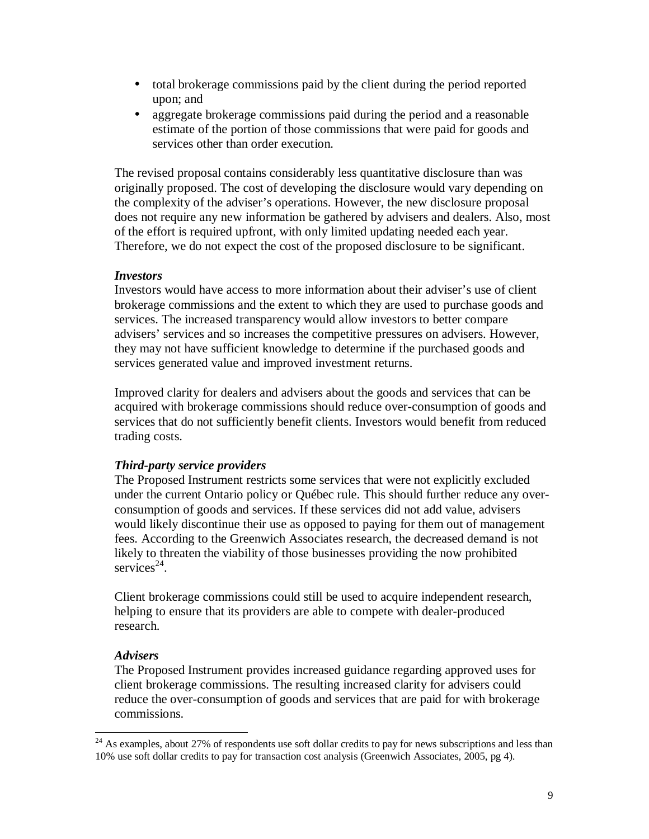- total brokerage commissions paid by the client during the period reported upon; and
- aggregate brokerage commissions paid during the period and a reasonable estimate of the portion of those commissions that were paid for goods and services other than order execution.

The revised proposal contains considerably less quantitative disclosure than was originally proposed. The cost of developing the disclosure would vary depending on the complexity of the adviser's operations. However, the new disclosure proposal does not require any new information be gathered by advisers and dealers. Also, most of the effort is required upfront, with only limited updating needed each year. Therefore, we do not expect the cost of the proposed disclosure to be significant.

#### *Investors*

Investors would have access to more information about their adviser's use of client brokerage commissions and the extent to which they are used to purchase goods and services. The increased transparency would allow investors to better compare advisers' services and so increases the competitive pressures on advisers. However, they may not have sufficient knowledge to determine if the purchased goods and services generated value and improved investment returns.

Improved clarity for dealers and advisers about the goods and services that can be acquired with brokerage commissions should reduce over-consumption of goods and services that do not sufficiently benefit clients. Investors would benefit from reduced trading costs.

## *Third-party service providers*

The Proposed Instrument restricts some services that were not explicitly excluded under the current Ontario policy or Québec rule. This should further reduce any overconsumption of goods and services. If these services did not add value, advisers would likely discontinue their use as opposed to paying for them out of management fees. According to the Greenwich Associates research, the decreased demand is not likely to threaten the viability of those businesses providing the now prohibited services<sup>24</sup>.

Client brokerage commissions could still be used to acquire independent research, helping to ensure that its providers are able to compete with dealer-produced research.

## *Advisers*

<u>.</u>

The Proposed Instrument provides increased guidance regarding approved uses for client brokerage commissions. The resulting increased clarity for advisers could reduce the over-consumption of goods and services that are paid for with brokerage commissions.

<sup>&</sup>lt;sup>24</sup> As examples, about 27% of respondents use soft dollar credits to pay for news subscriptions and less than 10% use soft dollar credits to pay for transaction cost analysis (Greenwich Associates, 2005, pg 4).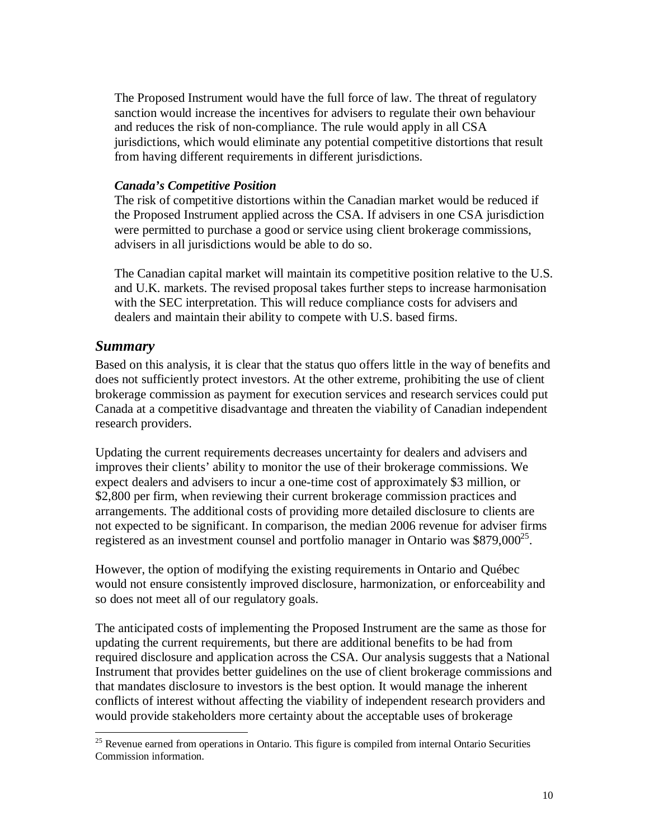The Proposed Instrument would have the full force of law. The threat of regulatory sanction would increase the incentives for advisers to regulate their own behaviour and reduces the risk of non-compliance. The rule would apply in all CSA jurisdictions, which would eliminate any potential competitive distortions that result from having different requirements in different jurisdictions.

#### *Canada's Competitive Position*

The risk of competitive distortions within the Canadian market would be reduced if the Proposed Instrument applied across the CSA. If advisers in one CSA jurisdiction were permitted to purchase a good or service using client brokerage commissions, advisers in all jurisdictions would be able to do so.

The Canadian capital market will maintain its competitive position relative to the U.S. and U.K. markets. The revised proposal takes further steps to increase harmonisation with the SEC interpretation. This will reduce compliance costs for advisers and dealers and maintain their ability to compete with U.S. based firms.

## *Summary*

<u>.</u>

Based on this analysis, it is clear that the status quo offers little in the way of benefits and does not sufficiently protect investors. At the other extreme, prohibiting the use of client brokerage commission as payment for execution services and research services could put Canada at a competitive disadvantage and threaten the viability of Canadian independent research providers.

Updating the current requirements decreases uncertainty for dealers and advisers and improves their clients' ability to monitor the use of their brokerage commissions. We expect dealers and advisers to incur a one-time cost of approximately \$3 million, or \$2,800 per firm, when reviewing their current brokerage commission practices and arrangements. The additional costs of providing more detailed disclosure to clients are not expected to be significant. In comparison, the median 2006 revenue for adviser firms registered as an investment counsel and portfolio manager in Ontario was  $$879,000^{25}$ .

However, the option of modifying the existing requirements in Ontario and Québec would not ensure consistently improved disclosure, harmonization, or enforceability and so does not meet all of our regulatory goals.

The anticipated costs of implementing the Proposed Instrument are the same as those for updating the current requirements, but there are additional benefits to be had from required disclosure and application across the CSA. Our analysis suggests that a National Instrument that provides better guidelines on the use of client brokerage commissions and that mandates disclosure to investors is the best option. It would manage the inherent conflicts of interest without affecting the viability of independent research providers and would provide stakeholders more certainty about the acceptable uses of brokerage

<sup>&</sup>lt;sup>25</sup> Revenue earned from operations in Ontario. This figure is compiled from internal Ontario Securities Commission information.